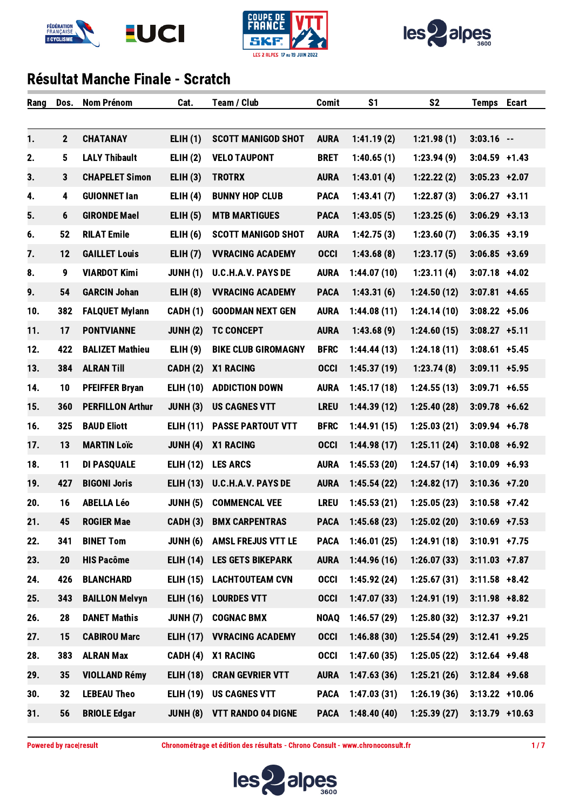





| Rang | Dos.            | <b>Nom Prénom</b>       | Cat.             | <b>Team / Club</b>         | <b>Comit</b> | S <sub>1</sub> | S <sub>2</sub> | <b>Temps</b>     | <b>Ecart</b> |
|------|-----------------|-------------------------|------------------|----------------------------|--------------|----------------|----------------|------------------|--------------|
|      |                 |                         |                  |                            |              |                |                |                  |              |
| 1.   | $\mathbf{2}$    | <b>CHATANAY</b>         | ELIH(1)          | <b>SCOTT MANIGOD SHOT</b>  | <b>AURA</b>  | 1:41.19(2)     | 1:21.98(1)     | $3:03.16 -$      |              |
| 2.   | $5\phantom{.0}$ | <b>LALY Thibault</b>    | ELIH(2)          | <b>VELO TAUPONT</b>        | <b>BRET</b>  | 1:40.65(1)     | 1:23.94(9)     | $3:04.59$ +1.43  |              |
| 3.   | $\mathbf{3}$    | <b>CHAPELET Simon</b>   | ELIH(3)          | <b>TROTRX</b>              | <b>AURA</b>  | 1:43.01(4)     | 1:22.22(2)     | $3:05.23$ +2.07  |              |
| 4.   | 4               | <b>GUIONNET lan</b>     | ELIH(4)          | <b>BUNNY HOP CLUB</b>      | <b>PACA</b>  | 1:43.41(7)     | 1:22.87(3)     | $3:06.27$ +3.11  |              |
| 5.   | $6\phantom{.}6$ | <b>GIRONDE Mael</b>     | ELIH(5)          | <b>MTB MARTIGUES</b>       | <b>PACA</b>  | 1:43.05(5)     | 1:23.25(6)     | $3:06.29$ +3.13  |              |
| 6.   | 52              | <b>RILAT Emile</b>      | ELIH(6)          | <b>SCOTT MANIGOD SHOT</b>  | <b>AURA</b>  | 1:42.75(3)     | 1:23.60(7)     | $3:06.35$ +3.19  |              |
| 7.   | 12              | <b>GAILLET Louis</b>    | ELIH(7)          | <b>VVRACING ACADEMY</b>    | <b>OCCI</b>  | 1:43.68(8)     | 1:23.17(5)     | $3:06.85$ +3.69  |              |
| 8.   | 9               | <b>VIARDOT Kimi</b>     | <b>JUNH (1)</b>  | U.C.H.A.V. PAYS DE         | <b>AURA</b>  | 1:44.07(10)    | 1:23.11(4)     | $3:07.18$ +4.02  |              |
| 9.   | 54              | <b>GARCIN Johan</b>     | ELIH(8)          | <b>VVRACING ACADEMY</b>    | <b>PACA</b>  | 1:43.31(6)     | 1:24.50(12)    | $3:07.81$ +4.65  |              |
| 10.  | 382             | <b>FALQUET Mylann</b>   | <b>CADH (1)</b>  | <b>GOODMAN NEXT GEN</b>    | <b>AURA</b>  | 1:44.08(11)    | 1:24.14(10)    | $3:08.22$ +5.06  |              |
| 11.  | 17              | <b>PONTVIANNE</b>       | JUNH(2)          | <b>TC CONCEPT</b>          | <b>AURA</b>  | 1:43.68(9)     | 1:24.60(15)    | $3:08.27$ +5.11  |              |
| 12.  | 422             | <b>BALIZET Mathieu</b>  | <b>ELIH (9)</b>  | <b>BIKE CLUB GIROMAGNY</b> | <b>BFRC</b>  | 1:44.44(13)    | 1:24.18(11)    | $3:08.61$ +5.45  |              |
| 13.  | 384             | <b>ALRAN Till</b>       | <b>CADH (2)</b>  | <b>X1 RACING</b>           | <b>OCCI</b>  | 1:45.37(19)    | 1:23.74(8)     | $3:09.11$ +5.95  |              |
| 14.  | 10              | <b>PFEIFFER Bryan</b>   | <b>ELIH (10)</b> | <b>ADDICTION DOWN</b>      | <b>AURA</b>  | 1:45.17(18)    | 1:24.55(13)    | $3:09.71$ +6.55  |              |
| 15.  | 360             | <b>PERFILLON Arthur</b> | JUNH(3)          | <b>US CAGNES VTT</b>       | <b>LREU</b>  | 1:44.39(12)    | 1:25.40(28)    | $3:09.78$ +6.62  |              |
| 16.  | 325             | <b>BAUD Eliott</b>      | <b>ELIH (11)</b> | <b>PASSE PARTOUT VTT</b>   | <b>BFRC</b>  | 1:44.91(15)    | 1:25.03(21)    | $3:09.94$ +6.78  |              |
| 17.  | 13              | <b>MARTIN Loïc</b>      | JUNH(4)          | X1 RACING                  | <b>OCCI</b>  | 1:44.98(17)    | 1:25.11(24)    | $3:10.08$ +6.92  |              |
| 18.  | 11              | <b>DI PASQUALE</b>      | <b>ELIH (12)</b> | <b>LES ARCS</b>            | <b>AURA</b>  | 1:45.53(20)    | 1:24.57(14)    | $3:10.09$ +6.93  |              |
| 19.  | 427             | <b>BIGONI Joris</b>     | <b>ELIH (13)</b> | U.C.H.A.V. PAYS DE         | <b>AURA</b>  | 1:45.54(22)    | 1:24.82(17)    | $3:10.36$ +7.20  |              |
| 20.  | 16              | <b>ABELLA Léo</b>       | <b>JUNH (5)</b>  | <b>COMMENCAL VEE</b>       | <b>LREU</b>  | 1:45.53(21)    | 1:25.05(23)    | $3:10.58$ +7.42  |              |
| 21.  | 45              | <b>ROGIER Mae</b>       | CADH (3)         | <b>BMX CARPENTRAS</b>      | <b>PACA</b>  | 1:45.68(23)    | 1:25.02(20)    | $3:10.69$ +7.53  |              |
| 22.  | 341             | <b>BINET Tom</b>        | <b>JUNH (6)</b>  | <b>AMSL FREJUS VTT LE</b>  | <b>PACA</b>  | 1:46.01(25)    | 1:24.91(18)    | $3:10.91$ +7.75  |              |
| 23.  | 20              | <b>HIS Pacôme</b>       | <b>ELIH (14)</b> | <b>LES GETS BIKEPARK</b>   | <b>AURA</b>  | 1:44.96(16)    | 1:26.07(33)    | $3:11.03$ +7.87  |              |
| 24.  | 426             | <b>BLANCHARD</b>        | <b>ELIH (15)</b> | <b>LACHTOUTEAM CVN</b>     | <b>OCCI</b>  | 1:45.92(24)    | 1:25.67(31)    | $3:11.58$ +8.42  |              |
| 25.  | 343             | <b>BAILLON Melvyn</b>   | <b>ELIH (16)</b> | <b>LOURDES VTT</b>         | <b>OCCI</b>  | 1:47.07(33)    | 1:24.91(19)    | $3:11.98$ +8.82  |              |
| 26.  | 28              | <b>DANET Mathis</b>     | <b>JUNH (7)</b>  | <b>COGNAC BMX</b>          | <b>NOAQ</b>  | 1:46.57(29)    | 1:25.80(32)    | $3:12.37$ +9.21  |              |
| 27.  | 15              | <b>CABIROU Marc</b>     | <b>ELIH (17)</b> | <b>VVRACING ACADEMY</b>    | <b>OCCI</b>  | 1:46.88(30)    | 1:25.54(29)    | $3:12.41$ +9.25  |              |
| 28.  | 383             | <b>ALRAN Max</b>        | CADH (4)         | <b>X1 RACING</b>           | <b>OCCI</b>  | 1:47.60(35)    | 1:25.05(22)    | $3:12.64$ +9.48  |              |
| 29.  | 35              | <b>VIOLLAND Rémy</b>    | <b>ELIH (18)</b> | <b>CRAN GEVRIER VTT</b>    | <b>AURA</b>  | 1:47.63(36)    | 1:25.21(26)    | $3:12.84$ +9.68  |              |
| 30.  | 32              | <b>LEBEAU Theo</b>      | <b>ELIH (19)</b> | <b>US CAGNES VTT</b>       | <b>PACA</b>  | 1:47.03(31)    | 1:26.19(36)    | $3:13.22$ +10.06 |              |
| 31.  | 56              | <b>BRIOLE Edgar</b>     | <b>JUNH (8)</b>  | <b>VTT RANDO 04 DIGNE</b>  | <b>PACA</b>  | 1:48.40(40)    | 1:25.39(27)    | $3:13.79$ +10.63 |              |

Powered by race|result Chronométrage et édition des résultats - Chrono Consult - www.chronoconsult.fr **Powered** by race|result

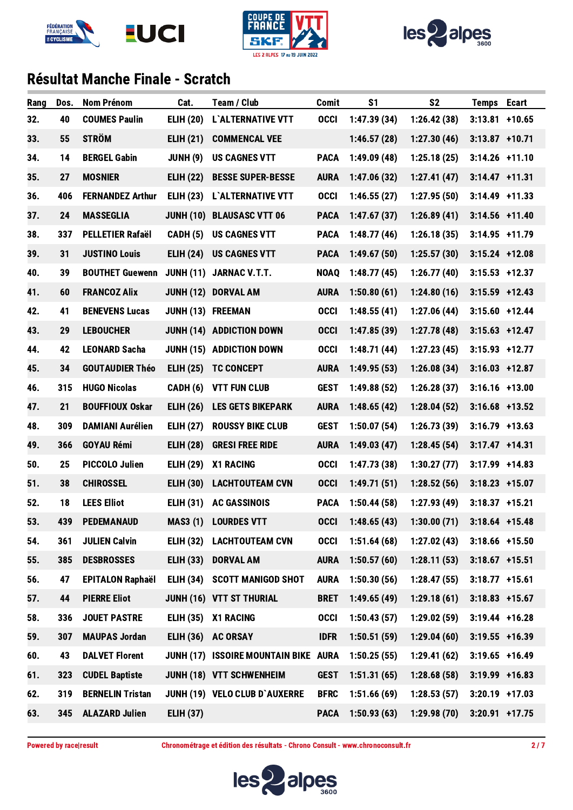





| Rang | Dos. | <b>Nom Prénom</b>       | Cat.              | <b>Team / Club</b>                   | <b>Comit</b> | S <sub>1</sub> | S <sub>2</sub>                 | <b>Temps Ecart</b> |  |
|------|------|-------------------------|-------------------|--------------------------------------|--------------|----------------|--------------------------------|--------------------|--|
| 32.  | 40   | <b>COUMES Paulin</b>    | <b>ELIH (20)</b>  | L'ALTERNATIVE VTT                    | <b>OCCI</b>  | 1:47.39(34)    | 1:26.42(38)                    | $3:13.81$ +10.65   |  |
| 33.  | 55   | <b>STRÖM</b>            | <b>ELIH (21)</b>  | <b>COMMENCAL VEE</b>                 |              | 1:46.57(28)    | 1:27.30(46)                    | $3:13.87$ +10.71   |  |
| 34.  | 14   | <b>BERGEL Gabin</b>     | <b>JUNH (9)</b>   | <b>US CAGNES VTT</b>                 | <b>PACA</b>  | 1:49.09(48)    | 1:25.18(25)                    | $3:14.26$ +11.10   |  |
| 35.  | 27   | <b>MOSNIER</b>          | <b>ELIH (22)</b>  | <b>BESSE SUPER-BESSE</b>             | <b>AURA</b>  | 1:47.06(32)    | 1:27.41(47)                    | $3:14.47$ +11.31   |  |
| 36.  | 406  | <b>FERNANDEZ Arthur</b> | <b>ELIH (23)</b>  | L'ALTERNATIVE VTT                    | <b>OCCI</b>  | 1:46.55(27)    | 1:27.95(50)                    | $3:14.49$ +11.33   |  |
| 37.  | 24   | <b>MASSEGLIA</b>        | <b>JUNH (10)</b>  | <b>BLAUSASC VTT 06</b>               | <b>PACA</b>  | 1:47.67(37)    | 1:26.89(41)                    | $3:14.56$ +11.40   |  |
| 38.  | 337  | <b>PELLETIER Rafaël</b> | <b>CADH (5)</b>   | <b>US CAGNES VTT</b>                 | <b>PACA</b>  | 1:48.77(46)    | 1:26.18(35)                    | $3:14.95$ +11.79   |  |
| 39.  | 31   | <b>JUSTINO Louis</b>    | <b>ELIH (24)</b>  | <b>US CAGNES VTT</b>                 | <b>PACA</b>  | 1:49.67(50)    | 1:25.57(30)                    | $3:15.24$ +12.08   |  |
| 40.  | 39   | <b>BOUTHET Guewenn</b>  | <b>JUNH (11)</b>  | <b>JARNAC V.T.T.</b>                 | <b>NOAQ</b>  | 1:48.77(45)    | 1:26.77(40)                    | $3:15.53$ +12.37   |  |
| 41.  | 60   | <b>FRANCOZ Alix</b>     | <b>JUNH (12)</b>  | <b>DORVAL AM</b>                     | <b>AURA</b>  | 1:50.80(61)    | 1:24.80(16)                    | $3:15.59$ +12.43   |  |
| 42.  | 41   | <b>BENEVENS Lucas</b>   | JUNH (13) FREEMAN |                                      | <b>OCCI</b>  | 1:48.55(41)    | 1:27.06(44)                    | $3:15.60$ +12.44   |  |
| 43.  | 29   | <b>LEBOUCHER</b>        |                   | JUNH (14) ADDICTION DOWN             | <b>OCCI</b>  | 1:47.85(39)    | 1:27.78(48)                    | $3:15.63$ +12.47   |  |
| 44.  | 42   | <b>LEONARD Sacha</b>    |                   | JUNH (15) ADDICTION DOWN             | <b>OCCI</b>  | 1:48.71(44)    | 1:27.23(45)                    | $3:15.93$ +12.77   |  |
| 45.  | 34   | <b>GOUTAUDIER Théo</b>  | <b>ELIH (25)</b>  | <b>TC CONCEPT</b>                    | <b>AURA</b>  | 1:49.95(53)    | 1:26.08(34)                    | $3:16.03$ +12.87   |  |
| 46.  | 315  | <b>HUGO Nicolas</b>     | <b>CADH (6)</b>   | <b>VTT FUN CLUB</b>                  | <b>GEST</b>  | 1:49.88(52)    | 1:26.28(37)                    | $3:16.16$ +13.00   |  |
| 47.  | 21   | <b>BOUFFIOUX Oskar</b>  | <b>ELIH (26)</b>  | <b>LES GETS BIKEPARK</b>             | <b>AURA</b>  | 1:48.65(42)    | 1:28.04(52)                    | $3:16.68$ +13.52   |  |
| 48.  | 309  | <b>DAMIANI Aurélien</b> | <b>ELIH (27)</b>  | <b>ROUSSY BIKE CLUB</b>              | <b>GEST</b>  | 1:50.07(54)    | 1:26.73(39)                    | $3:16.79$ +13.63   |  |
| 49.  | 366  | <b>GOYAU Rémi</b>       | <b>ELIH (28)</b>  | <b>GRESI FREE RIDE</b>               | <b>AURA</b>  | 1:49.03(47)    | 1:28.45(54)                    | $3:17.47$ +14.31   |  |
| 50.  | 25   | <b>PICCOLO Julien</b>   | <b>ELIH (29)</b>  | X1 RACING                            | <b>OCCI</b>  | 1:47.73(38)    | 1:30.27(77)                    | 3:17.99 +14.83     |  |
| 51.  | 38   | <b>CHIROSSEL</b>        | <b>ELIH (30)</b>  | <b>LACHTOUTEAM CVN</b>               | <b>OCCI</b>  | 1:49.71(51)    | 1:28.52(56)                    | $3:18.23$ +15.07   |  |
| 52.  | 18   | <b>LEES Elliot</b>      | <b>ELIH (31)</b>  | <b>AC GASSINOIS</b>                  | <b>PACA</b>  | 1:50.44(58)    | 1:27.93(49)                    | $3:18.37$ +15.21   |  |
| 53.  | 439  | <b>PEDEMANAUD</b>       |                   | <b>MAS3 (1) LOURDES VTT</b>          | <b>OCCI</b>  | 1:48.65(43)    | $1:30.00(71)$ $3:18.64$ +15.48 |                    |  |
| 54.  | 361  | <b>JULIEN Calvin</b>    | <b>ELIH (32)</b>  | <b>LACHTOUTEAM CVN</b>               | <b>OCCI</b>  | 1:51.64(68)    | 1:27.02(43)                    | $3:18.66$ +15.50   |  |
| 55.  | 385  | <b>DESBROSSES</b>       | <b>ELIH (33)</b>  | <b>DORVAL AM</b>                     | <b>AURA</b>  | 1:50.57(60)    | 1:28.11(53)                    | $3:18.67$ +15.51   |  |
| 56.  | 47   | <b>EPITALON Raphaël</b> | <b>ELIH (34)</b>  | <b>SCOTT MANIGOD SHOT</b>            | <b>AURA</b>  | 1:50.30(56)    | 1:28.47(55)                    | $3:18.77$ +15.61   |  |
| 57.  | 44   | <b>PIERRE Eliot</b>     |                   | <b>JUNH (16) VTT ST THURIAL</b>      | <b>BRET</b>  | 1:49.65(49)    | 1:29.18(61)                    | $3:18.83$ +15.67   |  |
| 58.  | 336  | <b>JOUET PASTRE</b>     | <b>ELIH (35)</b>  | X1 RACING                            | <b>OCCI</b>  | 1:50.43(57)    | 1:29.02(59)                    | $3:19.44$ +16.28   |  |
| 59.  | 307  | <b>MAUPAS Jordan</b>    | <b>ELIH (36)</b>  | <b>AC ORSAY</b>                      | <b>IDFR</b>  | 1:50.51(59)    | 1:29.04(60)                    | $3:19.55$ +16.39   |  |
| 60.  | 43   | <b>DALVET Florent</b>   |                   | JUNH (17) ISSOIRE MOUNTAIN BIKE AURA |              | 1:50.25(55)    | 1:29.41(62)                    | $3:19.65$ +16.49   |  |
| 61.  | 323  | <b>CUDEL Baptiste</b>   |                   | JUNH (18) VTT SCHWENHEIM             | <b>GEST</b>  | 1:51.31(65)    | 1:28.68(58)                    | $3:19.99$ +16.83   |  |
| 62.  | 319  | <b>BERNELIN Tristan</b> |                   | JUNH (19) VELO CLUB D'AUXERRE        | <b>BFRC</b>  | 1:51.66(69)    | 1:28.53(57)                    | $3:20.19$ +17.03   |  |
| 63.  | 345  | <b>ALAZARD Julien</b>   | <b>ELIH (37)</b>  |                                      | <b>PACA</b>  | 1:50.93(63)    | 1:29.98(70)                    | $3:20.91$ +17.75   |  |

Powered by race|result Chronométrage et édition des résultats - Chrono Consult - www.chronoconsult.fr 2/7

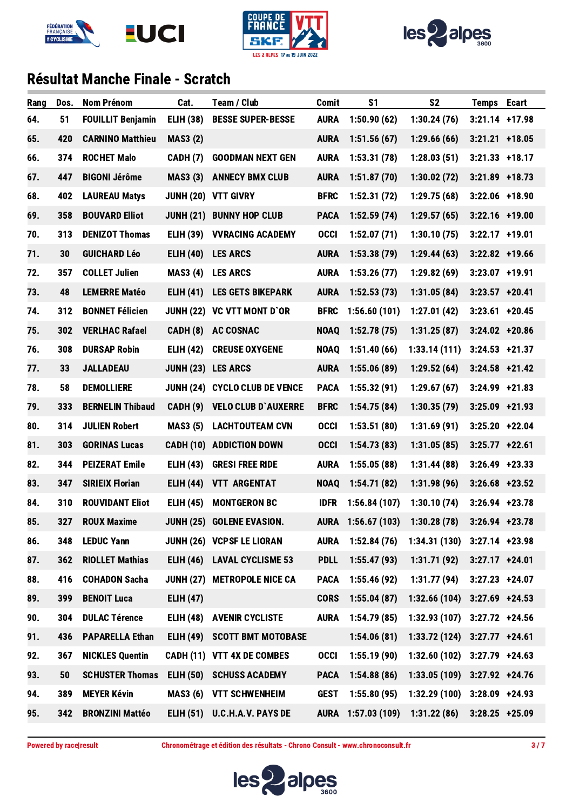





| Rang | Dos. | <b>Nom Prénom</b>        | Cat.               | <b>Team / Club</b>               | <b>Comit</b> | S <sub>1</sub>     | S <sub>2</sub> | <b>Temps</b>     | <b>Ecart</b> |
|------|------|--------------------------|--------------------|----------------------------------|--------------|--------------------|----------------|------------------|--------------|
| 64.  | 51   | <b>FOUILLIT Benjamin</b> | <b>ELIH (38)</b>   | <b>BESSE SUPER-BESSE</b>         | <b>AURA</b>  | 1:50.90(62)        | 1:30.24(76)    | $3:21.14$ +17.98 |              |
| 65.  | 420  | <b>CARNINO Matthieu</b>  | <b>MAS3(2)</b>     |                                  | <b>AURA</b>  | 1:51.56(67)        | 1:29.66(66)    | $3:21.21$ +18.05 |              |
| 66.  | 374  | <b>ROCHET Malo</b>       | <b>CADH (7)</b>    | <b>GOODMAN NEXT GEN</b>          | <b>AURA</b>  | 1:53.31(78)        | 1:28.03(51)    | $3:21.33$ +18.17 |              |
| 67.  | 447  | <b>BIGONI Jérôme</b>     | <b>MAS3(3)</b>     | <b>ANNECY BMX CLUB</b>           | <b>AURA</b>  | 1:51.87(70)        | 1:30.02(72)    | $3:21.89$ +18.73 |              |
| 68.  | 402  | <b>LAUREAU Matys</b>     |                    | JUNH (20) VTT GIVRY              | <b>BFRC</b>  | 1:52.31(72)        | 1:29.75(68)    | 3:22.06 +18.90   |              |
| 69.  | 358  | <b>BOUVARD Elliot</b>    | <b>JUNH (21)</b>   | <b>BUNNY HOP CLUB</b>            | <b>PACA</b>  | 1:52.59(74)        | 1:29.57(65)    | $3:22.16$ +19.00 |              |
| 70.  | 313  | <b>DENIZOT Thomas</b>    | <b>ELIH (39)</b>   | <b>VVRACING ACADEMY</b>          | <b>OCCI</b>  | 1:52.07(71)        | 1:30.10(75)    | $3:22.17$ +19.01 |              |
| 71.  | 30   | <b>GUICHARD Léo</b>      | <b>ELIH (40)</b>   | <b>LES ARCS</b>                  | <b>AURA</b>  | 1:53.38(79)        | 1:29.44(63)    | $3:22.82$ +19.66 |              |
| 72.  | 357  | <b>COLLET Julien</b>     | <b>MAS3 (4)</b>    | <b>LES ARCS</b>                  | <b>AURA</b>  | 1:53.26(77)        | 1:29.82(69)    | $3:23.07$ +19.91 |              |
| 73.  | 48   | <b>LEMERRE Matéo</b>     | <b>ELIH (41)</b>   | <b>LES GETS BIKEPARK</b>         | <b>AURA</b>  | 1:52.53(73)        | 1:31.05(84)    | $3:23.57$ +20.41 |              |
| 74.  | 312  | <b>BONNET Félicien</b>   |                    | JUNH (22) VC VTT MONT D'OR       | <b>BFRC</b>  | 1:56.60(101)       | 1:27.01(42)    | $3:23.61$ +20.45 |              |
| 75.  | 302  | <b>VERLHAC Rafael</b>    | <b>CADH (8)</b>    | <b>AC COSNAC</b>                 | <b>NOAQ</b>  | 1:52.78(75)        | 1:31.25(87)    | $3:24.02$ +20.86 |              |
| 76.  | 308  | <b>DURSAP Robin</b>      | <b>ELIH (42)</b>   | <b>CREUSE OXYGENE</b>            | <b>NOAQ</b>  | 1:51.40(66)        | 1:33.14(111)   | $3:24.53$ +21.37 |              |
| 77.  | 33   | <b>JALLADEAU</b>         | JUNH (23) LES ARCS |                                  | <b>AURA</b>  | 1:55.06(89)        | 1:29.52(64)    | $3:24.58$ +21.42 |              |
| 78.  | 58   | <b>DEMOLLIERE</b>        |                    | JUNH (24) CYCLO CLUB DE VENCE    | <b>PACA</b>  | 1:55.32(91)        | 1:29.67(67)    | $3:24.99$ +21.83 |              |
| 79.  | 333  | <b>BERNELIN Thibaud</b>  | <b>CADH (9)</b>    | <b>VELO CLUB D'AUXERRE</b>       | <b>BFRC</b>  | 1:54.75(84)        | 1:30.35(79)    | $3:25.09$ +21.93 |              |
| 80.  | 314  | <b>JULIEN Robert</b>     | <b>MAS3(5)</b>     | <b>LACHTOUTEAM CVN</b>           | <b>OCCI</b>  | 1:53.51(80)        | 1:31.69(91)    | $3:25.20$ +22.04 |              |
| 81.  | 303  | <b>GORINAS Lucas</b>     |                    | <b>CADH (10) ADDICTION DOWN</b>  | <b>OCCI</b>  | 1:54.73(83)        | 1:31.05(85)    | $3:25.77$ +22.61 |              |
| 82.  | 344  | <b>PEIZERAT Emile</b>    | <b>ELIH (43)</b>   | <b>GRESI FREE RIDE</b>           | <b>AURA</b>  | 1:55.05(88)        | 1:31.44(88)    | $3:26.49$ +23.33 |              |
| 83.  | 347  | <b>SIRIEIX Florian</b>   | <b>ELIH (44)</b>   | <b>VTT ARGENTAT</b>              | <b>NOAQ</b>  | 1:54.71(82)        | 1:31.98(96)    | $3:26.68$ +23.52 |              |
| 84.  | 310  | <b>ROUVIDANT Eliot</b>   | <b>ELIH (45)</b>   | <b>MONTGERON BC</b>              | <b>IDFR</b>  | 1:56.84(107)       | 1:30.10(74)    | $3:26.94$ +23.78 |              |
| 85.  | 327  | <b>ROUX Maxime</b>       |                    | <b>JUNH (25) GOLENE EVASION.</b> |              | AURA 1:56.67 (103) | 1:30.28(78)    | $3:26.94$ +23.78 |              |
| 86.  | 348  | <b>LEDUC Yann</b>        |                    | JUNH (26) VCPSF LE LIORAN        | <b>AURA</b>  | 1:52.84(76)        | 1:34.31(130)   | $3:27.14$ +23.98 |              |
| 87.  | 362  | <b>RIOLLET Mathias</b>   |                    | ELIH (46) LAVAL CYCLISME 53      | <b>PDLL</b>  | 1:55.47(93)        | 1:31.71(92)    | $3:27.17$ +24.01 |              |
| 88.  | 416  | <b>COHADON Sacha</b>     |                    | JUNH (27) METROPOLE NICE CA      | <b>PACA</b>  | 1:55.46(92)        | 1:31.77(94)    | $3:27.23$ +24.07 |              |
| 89.  | 399  | <b>BENOIT Luca</b>       | <b>ELIH (47)</b>   |                                  | <b>CORS</b>  | 1:55.04(87)        | 1:32.66(104)   | $3:27.69$ +24.53 |              |
| 90.  | 304  | <b>DULAC Térence</b>     | <b>ELIH (48)</b>   | <b>AVENIR CYCLISTE</b>           | <b>AURA</b>  | 1:54.79(85)        | 1:32.93(107)   | $3:27.72$ +24.56 |              |
| 91.  | 436  | <b>PAPARELLA Ethan</b>   |                    | ELIH (49) SCOTT BMT MOTOBASE     |              | 1:54.06(81)        | 1:33.72(124)   | $3:27.77$ +24.61 |              |
| 92.  | 367  | <b>NICKLES Quentin</b>   |                    | CADH (11) VTT 4X DE COMBES       | <b>OCCI</b>  | 1:55.19(90)        | 1:32.60(102)   | $3:27.79$ +24.63 |              |
| 93.  | 50   | <b>SCHUSTER Thomas</b>   | <b>ELIH (50)</b>   | <b>SCHUSS ACADEMY</b>            | <b>PACA</b>  | 1:54.88(86)        | 1:33.05(109)   | $3:27.92$ +24.76 |              |
| 94.  | 389  | <b>MEYER Kévin</b>       | <b>MAS3 (6)</b>    | <b>VTT SCHWENHEIM</b>            | <b>GEST</b>  | 1:55.80(95)        | 1:32.29(100)   | $3:28.09$ +24.93 |              |
| 95.  | 342  | <b>BRONZINI Mattéo</b>   |                    | ELIH (51) U.C.H.A.V. PAYS DE     | <b>AURA</b>  | 1:57.03(109)       | 1:31.22(86)    | $3:28.25$ +25.09 |              |

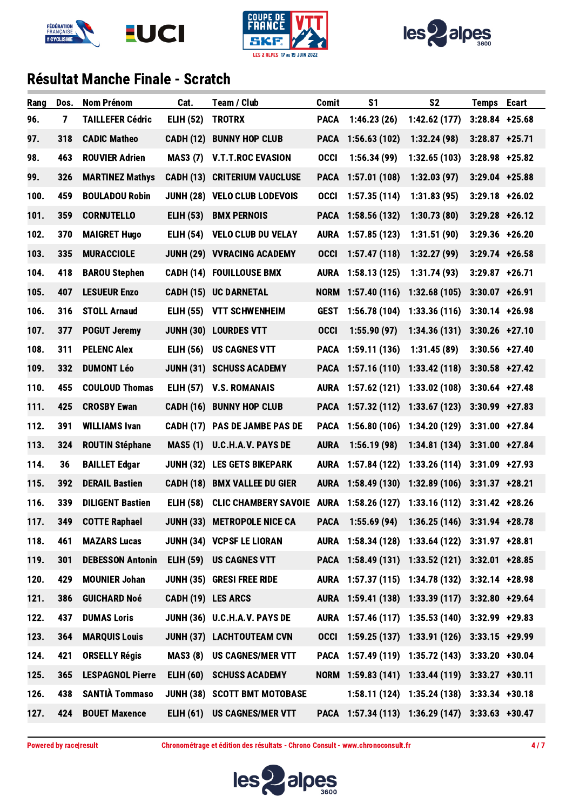





| Rang | Dos.                    | <b>Nom Prénom</b>                               | Cat.             | <b>Team / Club</b>                      | <b>Comit</b> | S <sub>1</sub>     | S <sub>2</sub>                                   | <b>Temps</b>      | <b>Ecart</b> |
|------|-------------------------|-------------------------------------------------|------------------|-----------------------------------------|--------------|--------------------|--------------------------------------------------|-------------------|--------------|
| 96.  | $\overline{\mathbf{z}}$ | <b>TAILLEFER Cédric</b>                         | <b>ELIH (52)</b> | <b>TROTRX</b>                           | <b>PACA</b>  | 1:46.23(26)        | 1:42.62(177)                                     | $3:28.84$ +25.68  |              |
| 97.  | 318                     | <b>CADIC Matheo</b>                             | <b>CADH (12)</b> | <b>BUNNY HOP CLUB</b>                   |              | PACA 1:56.63 (102) | 1:32.24(98)                                      | $3:28.87$ +25.71  |              |
| 98.  | 463                     | <b>ROUVIER Adrien</b>                           | <b>MAS3 (7)</b>  | <b>V.T.T.ROC EVASION</b>                | <b>OCCI</b>  | 1:56.34(99)        | 1:32.65(103)                                     | $3:28.98$ +25.82  |              |
| 99.  | 326                     | <b>MARTINEZ Mathys</b>                          |                  | <b>CADH (13) CRITERIUM VAUCLUSE</b>     | <b>PACA</b>  | 1:57.01(108)       | 1:32.03(97)                                      | $3:29.04$ +25.88  |              |
| 100. | 459                     | <b>BOULADOU Robin</b>                           |                  | JUNH (28) VELO CLUB LODEVOIS            | <b>OCCI</b>  | 1:57.35(114)       | 1:31.83(95)                                      | $3:29.18$ +26.02  |              |
| 101. | 359                     | <b>CORNUTELLO</b>                               | <b>ELIH (53)</b> | <b>BMX PERNOIS</b>                      |              | PACA 1:58.56 (132) | 1:30.73(80)                                      | $3:29.28$ +26.12  |              |
| 102. | 370                     | <b>MAIGRET Hugo</b>                             | <b>ELIH (54)</b> | <b>VELO CLUB DU VELAY</b>               | <b>AURA</b>  | 1:57.85(123)       | 1:31.51(90)                                      | $3:29.36$ +26.20  |              |
| 103. | 335                     | <b>MURACCIOLE</b>                               |                  | JUNH (29) VVRACING ACADEMY              | <b>OCCI</b>  | 1:57.47(118)       | 1:32.27(99)                                      | $3:29.74$ +26.58  |              |
| 104. | 418                     | <b>BAROU Stephen</b>                            |                  | <b>CADH (14) FOUILLOUSE BMX</b>         | <b>AURA</b>  | 1:58.13(125)       | 1:31.74(93)                                      | $3:29.87$ +26.71  |              |
| 105. | 407                     | <b>LESUEUR Enzo</b>                             |                  | CADH (15) UC DARNETAL                   | NORM         | 1:57.40(116)       | 1:32.68(105)                                     | $3:30.07$ +26.91  |              |
| 106. | 316                     | <b>STOLL Arnaud</b>                             | <b>ELIH (55)</b> | <b>VTT SCHWENHEIM</b>                   | <b>GEST</b>  | 1:56.78(104)       | 1:33.36(116)                                     | $3:30.14$ +26.98  |              |
| 107. | 377                     | <b>POGUT Jeremy</b>                             |                  | JUNH (30) LOURDES VTT                   | <b>OCCI</b>  | 1:55.90(97)        | 1:34.36(131)                                     | $3:30.26$ +27.10  |              |
| 108. | 311                     | <b>PELENC Alex</b>                              | <b>ELIH (56)</b> | <b>US CAGNES VTT</b>                    | <b>PACA</b>  | 1:59.11(136)       | 1:31.45(89)                                      | $3:30.56$ +27.40  |              |
| 109. | 332                     | <b>DUMONT Léo</b>                               |                  | JUNH (31) SCHUSS ACADEMY                |              | PACA 1:57.16 (110) | 1:33.42(118)                                     | $3:30.58$ +27.42  |              |
| 110. | 455                     | <b>COULOUD Thomas</b>                           | <b>ELIH (57)</b> | <b>V.S. ROMANAIS</b>                    | <b>AURA</b>  | 1:57.62(121)       | 1:33.02(108)                                     | $3:30.64$ +27.48  |              |
| 111. | 425                     | <b>CROSBY Ewan</b>                              |                  | <b>CADH (16) BUNNY HOP CLUB</b>         |              | PACA 1:57.32 (112) | 1:33.67(123)                                     | $3:30.99$ +27.83  |              |
| 112. | 391                     | <b>WILLIAMS Ivan</b>                            |                  | CADH (17) PAS DE JAMBE PAS DE           | <b>PACA</b>  | 1:56.80(106)       | 1:34.20 (129)                                    | $3:31.00$ +27.84  |              |
| 113. | 324                     | <b>ROUTIN Stéphane</b>                          | <b>MAS5 (1)</b>  | U.C.H.A.V. PAYS DE                      | <b>AURA</b>  | 1:56.19(98)        | 1:34.81(134)                                     | $3:31.00 +27.84$  |              |
| 114. | 36                      | <b>BAILLET Edgar</b>                            |                  | <b>JUNH (32) LES GETS BIKEPARK</b>      | AURA         | 1:57.84(122)       | 1:33.26(114)                                     | $3:31.09$ +27.93  |              |
| 115. | 392                     | <b>DERAIL Bastien</b>                           |                  | <b>CADH (18) BMX VALLEE DU GIER</b>     |              | AURA 1:58.49 (130) | 1:32.89(106)                                     | $3:31.37$ +28.21  |              |
| 116. | 339                     | <b>DILIGENT Bastien</b>                         | <b>ELIH (58)</b> | CLIC CHAMBERY SAVOIE AURA 1:58.26 (127) |              |                    | 1:33.16(112)                                     | $3:31.42$ +28.26  |              |
| 117. | 349                     | <b>COTTE Raphael</b>                            |                  | <b>JUNH (33) METROPOLE NICE CA</b>      | <b>PACA</b>  | 1:55.69(94)        | $1:36.25(146)$ $3:31.94$ $+28.78$                |                   |              |
| 118. | 461                     | <b>MAZARS Lucas</b>                             |                  | JUNH (34) VCPSF LE LIORAN               |              |                    | AURA 1:58.34 (128) 1:33.64 (122) 3:31.97 +28.81  |                   |              |
| 119. | 301                     | <b>DEBESSON Antonin ELIH (59) US CAGNES VTT</b> |                  |                                         |              |                    | PACA 1:58.49 (131) 1:33.52 (121) 3:32.01 +28.85  |                   |              |
| 120. | 429                     | <b>MOUNIER Johan</b>                            |                  | JUNH (35) GRESI FREE RIDE               |              |                    | AURA 1:57.37 (115) 1:34.78 (132) 3:32.14 +28.98  |                   |              |
| 121. | 386                     | <b>GUICHARD Noé</b>                             |                  | CADH (19) LES ARCS                      |              |                    | AURA 1:59.41 (138) 1:33.39 (117) 3:32.80 +29.64  |                   |              |
| 122. | 437                     | <b>DUMAS Loris</b>                              |                  | JUNH (36) U.C.H.A.V. PAYS DE            |              |                    | AURA 1:57.46 (117) 1:35.53 (140) 3:32.99 +29.83  |                   |              |
| 123. | 364                     | <b>MARQUIS Louis</b>                            |                  | JUNH (37) LACHTOUTEAM CVN               |              |                    | OCCI 1:59.25 (137) 1:33.91 (126) 3:33.15 +29.99  |                   |              |
| 124. | 421                     | <b>ORSELLY Régis</b>                            | <b>MAS3 (8)</b>  | <b>US CAGNES/MER VTT</b>                |              |                    | PACA 1:57.49 (119) 1:35.72 (143)                 | $3:33.20 + 30.04$ |              |
| 125. | 365                     | <b>LESPAGNOL Pierre</b>                         |                  | ELIH (60) SCHUSS ACADEMY                |              |                    | NORM 1:59.83 (141) 1:33.44 (119) 3:33.27 +30.11  |                   |              |
| 126. | 438                     | <b>SANTIÀ Tommaso</b>                           |                  | JUNH (38) SCOTT BMT MOTOBASE            |              |                    | $1:58.11(124)$ $1:35.24(138)$ $3:33.34$ $+30.18$ |                   |              |
| 127. | 424                     | <b>BOUET Maxence</b>                            |                  | ELIH (61) US CAGNES/MER VTT             |              |                    | PACA 1:57.34 (113) 1:36.29 (147) 3:33.63 +30.47  |                   |              |

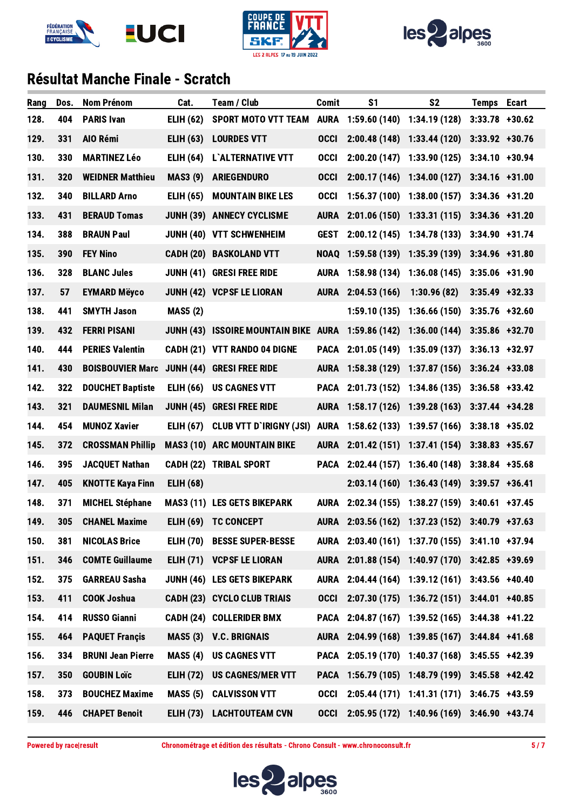





| Rang | Dos. | <b>Nom Prénom</b>        | Cat.             | Team / Club                                        | <b>Comit</b> | S <sub>1</sub>                   | S <sub>2</sub>                                  | <b>Temps</b>      | <b>Ecart</b> |
|------|------|--------------------------|------------------|----------------------------------------------------|--------------|----------------------------------|-------------------------------------------------|-------------------|--------------|
| 128. | 404  | <b>PARIS Ivan</b>        | <b>ELIH (62)</b> | <b>SPORT MOTO VTT TEAM</b>                         | <b>AURA</b>  |                                  | $1:59.60(140)$ $1:34.19(128)$                   | $3:33.78$ +30.62  |              |
| 129. | 331  | AIO Rémi                 | <b>ELIH (63)</b> | <b>LOURDES VTT</b>                                 | <b>OCCI</b>  |                                  | $2:00.48(148)$ 1:33.44 (120)                    | $3:33.92$ +30.76  |              |
| 130. | 330  | <b>MARTINEZ Léo</b>      | <b>ELIH (64)</b> | L'ALTERNATIVE VTT                                  | <b>OCCI</b>  |                                  | $2:00.20(147)$ 1:33.90 (125)                    | $3:34.10 + 30.94$ |              |
| 131. | 320  | <b>WEIDNER Matthieu</b>  | <b>MAS3 (9)</b>  | <b>ARIEGENDURO</b>                                 | <b>OCCI</b>  |                                  | $2:00.17(146)$ 1:34.00 (127)                    | $3:34.16$ +31.00  |              |
| 132. | 340  | <b>BILLARD Arno</b>      | <b>ELIH (65)</b> | <b>MOUNTAIN BIKE LES</b>                           | <b>OCCI</b>  |                                  | $1:56.37(100)$ $1:38.00(157)$                   | $3:34.36$ +31.20  |              |
| 133. | 431  | <b>BERAUD Tomas</b>      |                  | <b>JUNH (39) ANNECY CYCLISME</b>                   | <b>AURA</b>  | $2:01.06(150)$ 1:33.31 (115)     |                                                 | $3:34.36$ +31.20  |              |
| 134. | 388  | <b>BRAUN Paul</b>        | <b>JUNH (40)</b> | <b>VTT SCHWENHEIM</b>                              | <b>GEST</b>  | 2:00.12(145)                     | 1:34.78 (133)                                   | 3:34.90 +31.74    |              |
| 135. | 390  | <b>FEY Nino</b>          |                  | <b>CADH (20) BASKOLAND VTT</b>                     | <b>NOAQ</b>  | 1:59.58 (139) 1:35.39 (139)      |                                                 | $3:34.96$ +31.80  |              |
| 136. | 328  | <b>BLANC Jules</b>       |                  | <b>JUNH (41) GRESI FREE RIDE</b>                   | AURA         |                                  | $1:58.98(134)$ $1:36.08(145)$                   | $3:35.06$ +31.90  |              |
| 137. | 57   | <b>EYMARD Mëyco</b>      |                  | JUNH (42) VCPSF LE LIORAN                          | AURA         | 2:04.53(166)                     | 1:30.96(82)                                     | $3:35.49$ +32.33  |              |
| 138. | 441  | <b>SMYTH Jason</b>       | <b>MAS5 (2)</b>  |                                                    |              | 1:59.10(135)                     | 1:36.66(150)                                    | $3:35.76$ +32.60  |              |
| 139. | 432  | <b>FERRI PISANI</b>      |                  | JUNH (43) ISSOIRE MOUNTAIN BIKE AURA 1:59.86 (142) |              |                                  | 1:36.00(144)                                    | $3:35.86$ +32.70  |              |
| 140. | 444  | <b>PERIES Valentin</b>   |                  | CADH (21) VTT RANDO 04 DIGNE                       | PACA         | $2:01.05(149)$ 1:35.09 (137)     |                                                 | $3:36.13$ +32.97  |              |
| 141. | 430  | <b>BOISBOUVIER Marc</b>  |                  | JUNH (44) GRESI FREE RIDE                          |              | AURA 1:58.38 (129) 1:37.87 (156) |                                                 | $3:36.24$ +33.08  |              |
| 142. | 322  | <b>DOUCHET Baptiste</b>  | <b>ELIH (66)</b> | <b>US CAGNES VTT</b>                               | <b>PACA</b>  | 2:01.73 (152) 1:34.86 (135)      |                                                 | $3:36.58$ +33.42  |              |
| 143. | 321  | <b>DAUMESNIL Milan</b>   |                  | <b>JUNH (45) GRESI FREE RIDE</b>                   | AURA         |                                  | $1:58.17(126)$ $1:39.28(163)$                   | $3:37.44$ +34.28  |              |
| 144. | 454  | <b>MUNOZ Xavier</b>      | <b>ELIH (67)</b> | CLUB VTT D'IRIGNY (JSI) AURA                       |              |                                  | $1:58.62(133)$ $1:39.57(166)$                   | $3:38.18$ +35.02  |              |
| 145. | 372  | <b>CROSSMAN Phillip</b>  |                  | <b>MAS3 (10) ARC MOUNTAIN BIKE</b>                 | <b>AURA</b>  |                                  | $2:01.42(151)$ 1:37.41 (154)                    | $3:38.83$ +35.67  |              |
| 146. | 395  | <b>JACQUET Nathan</b>    |                  | <b>CADH (22) TRIBAL SPORT</b>                      | <b>PACA</b>  | $2:02.44(157)$ 1:36.40 (148)     |                                                 | $3:38.84$ +35.68  |              |
| 147. | 405  | <b>KNOTTE Kaya Finn</b>  | <b>ELIH (68)</b> |                                                    |              |                                  | $2:03.14(160)$ 1:36.43 (149)                    | $3:39.57$ +36.41  |              |
| 148. | 371  | <b>MICHEL Stéphane</b>   |                  | <b>MAS3 (11) LES GETS BIKEPARK</b>                 |              | AURA 2:02.34 (155) 1:38.27 (159) |                                                 | $3:40.61$ +37.45  |              |
| 149. | 305  | <b>CHANEL Maxime</b>     |                  | ELIH (69) TC CONCEPT                               |              |                                  | AURA 2:03.56 (162) 1:37.23 (152) 3:40.79 +37.63 |                   |              |
| 150. | 381  | <b>NICOLAS Brice</b>     |                  | ELIH (70) BESSE SUPER-BESSE                        |              |                                  | AURA 2:03.40 (161) 1:37.70 (155) 3:41.10 +37.94 |                   |              |
| 151. | 346  | <b>COMTE Guillaume</b>   |                  | ELIH (71) VCPSF LE LIORAN                          |              |                                  | AURA 2:01.88 (154) 1:40.97 (170) 3:42.85 +39.69 |                   |              |
| 152. | 375  | <b>GARREAU Sasha</b>     |                  | <b>JUNH (46) LES GETS BIKEPARK</b>                 |              |                                  | AURA 2:04.44 (164) 1:39.12 (161) 3:43.56 +40.40 |                   |              |
| 153. | 411  | <b>COOK Joshua</b>       |                  | CADH (23) CYCLO CLUB TRIAIS                        |              |                                  | OCCI 2:07.30 (175) 1:36.72 (151) 3:44.01 +40.85 |                   |              |
| 154. | 414  | <b>RUSSO Gianni</b>      |                  | <b>CADH (24) COLLERIDER BMX</b>                    |              |                                  | PACA 2:04.87 (167) 1:39.52 (165) 3:44.38 +41.22 |                   |              |
| 155. | 464  | <b>PAQUET Francis</b>    |                  | MAS5 (3) V.C. BRIGNAIS                             |              |                                  | AURA 2:04.99 (168) 1:39.85 (167) 3:44.84 +41.68 |                   |              |
| 156. | 334  | <b>BRUNI Jean Pierre</b> | <b>MAS5</b> (4)  | <b>US CAGNES VTT</b>                               |              |                                  | PACA 2:05.19 (170) 1:40.37 (168) 3:45.55 +42.39 |                   |              |
| 157. | 350  | <b>GOUBIN Loïc</b>       |                  | ELIH (72) US CAGNES/MER VTT                        |              |                                  | PACA 1:56.79 (105) 1:48.79 (199) 3:45.58 +42.42 |                   |              |
| 158. | 373  | <b>BOUCHEZ Maxime</b>    |                  | MAS5 (5) CALVISSON VTT                             |              |                                  | OCCI 2:05.44 (171) 1:41.31 (171) 3:46.75 +43.59 |                   |              |
| 159. | 446  | <b>CHAPET Benoit</b>     |                  | ELIH (73) LACHTOUTEAM CVN                          |              |                                  | OCCI 2:05.95 (172) 1:40.96 (169) 3:46.90 +43.74 |                   |              |

Powered by race|result Chronométrage et édition des résultats - Chrono Consult - www.chronoconsult.fr 5/7

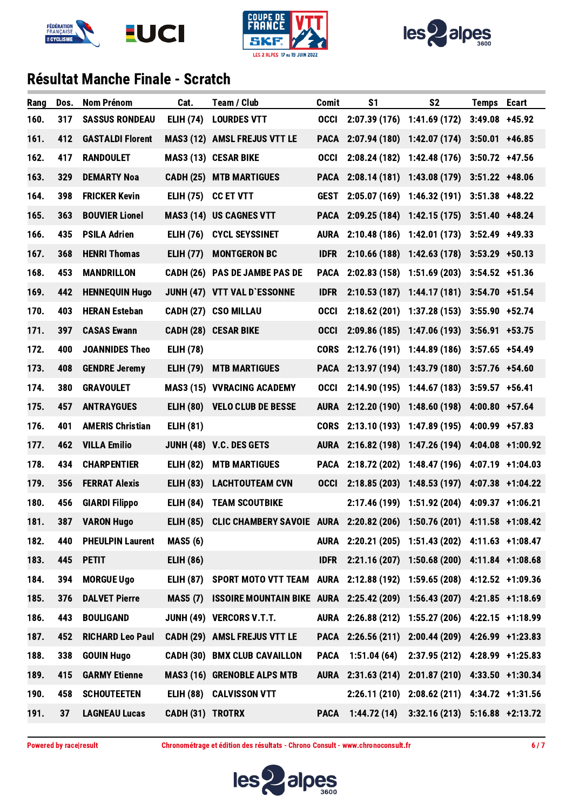





| Rang | Dos. | <b>Nom Prénom</b>       | Cat.             | Team / Club                                                                      | <b>Comit</b> | S <sub>1</sub>                   | S <sub>2</sub>                                    | <b>Temps</b>     | <b>Ecart</b>     |
|------|------|-------------------------|------------------|----------------------------------------------------------------------------------|--------------|----------------------------------|---------------------------------------------------|------------------|------------------|
| 160. | 317  | <b>SASSUS RONDEAU</b>   | <b>ELIH (74)</b> | <b>LOURDES VTT</b>                                                               | <b>OCCI</b>  |                                  | 2:07.39 (176) 1:41.69 (172)                       | $3:49.08$ +45.92 |                  |
| 161. | 412  | <b>GASTALDI Florent</b> |                  | <b>MAS3 (12) AMSL FREJUS VTT LE</b>                                              |              | PACA 2:07.94 (180) 1:42.07 (174) |                                                   | $3:50.01$ +46.85 |                  |
| 162. | 417  | <b>RANDOULET</b>        |                  | MAS3 (13) CESAR BIKE                                                             | <b>OCCI</b>  |                                  | 2:08.24 (182) 1:42.48 (176)                       | $3:50.72$ +47.56 |                  |
| 163. | 329  | <b>DEMARTY Noa</b>      |                  | <b>CADH (25) MTB MARTIGUES</b>                                                   |              |                                  | PACA 2:08.14 (181) 1:43.08 (179)                  | $3:51.22$ +48.06 |                  |
| 164. | 398  | <b>FRICKER Kevin</b>    | <b>ELIH (75)</b> | <b>CC ET VTT</b>                                                                 | <b>GEST</b>  |                                  | $2:05.07(169)$ 1:46.32 (191)                      | $3:51.38$ +48.22 |                  |
| 165. | 363  | <b>BOUVIER Lionel</b>   |                  | MAS3 (14) US CAGNES VTT                                                          |              | PACA 2:09.25 (184) 1:42.15 (175) |                                                   | $3:51.40$ +48.24 |                  |
| 166. | 435  | <b>PSILA Adrien</b>     | <b>ELIH (76)</b> | <b>CYCL SEYSSINET</b>                                                            | AURA         |                                  | $2:10.48(186)$ 1:42.01 (173)                      | $3:52.49$ +49.33 |                  |
| 167. | 368  | <b>HENRI Thomas</b>     | <b>ELIH (77)</b> | <b>MONTGERON BC</b>                                                              | <b>IDFR</b>  |                                  | $2:10.66(188)$ 1:42.63 (178)                      | $3:53.29$ +50.13 |                  |
| 168. | 453  | <b>MANDRILLON</b>       |                  | CADH (26) PAS DE JAMBE PAS DE                                                    | <b>PACA</b>  | 2:02.83(158)                     | 1:51.69(203)                                      | $3:54.52$ +51.36 |                  |
| 169. | 442  | <b>HENNEQUIN Hugo</b>   |                  | <b>JUNH (47) VTT VAL D'ESSONNE</b>                                               | <b>IDFR</b>  |                                  | $2:10.53(187)$ 1:44.17 (181)                      | $3:54.70$ +51.54 |                  |
| 170. | 403  | <b>HERAN Esteban</b>    |                  | CADH (27) CSO MILLAU                                                             | <b>OCCI</b>  |                                  | $2:18.62(201)$ 1:37.28 (153)                      | $3:55.90$ +52.74 |                  |
| 171. | 397  | <b>CASAS Ewann</b>      |                  | <b>CADH (28) CESAR BIKE</b>                                                      | <b>OCCI</b>  |                                  | 2:09.86 (185) 1:47.06 (193)                       | $3:56.91$ +53.75 |                  |
| 172. | 400  | <b>JOANNIDES Theo</b>   | <b>ELIH (78)</b> |                                                                                  | <b>CORS</b>  |                                  | 2:12.76 (191) 1:44.89 (186)                       | $3:57.65$ +54.49 |                  |
| 173. | 408  | <b>GENDRE Jeremy</b>    | <b>ELIH (79)</b> | <b>MTB MARTIGUES</b>                                                             |              | PACA 2:13.97 (194) 1:43.79 (180) |                                                   | $3:57.76$ +54.60 |                  |
| 174. | 380  | <b>GRAVOULET</b>        |                  | <b>MAS3 (15) VVRACING ACADEMY</b>                                                | <b>OCCI</b>  | 2:14.90(195)                     | 1:44.67 (183)                                     | $3:59.57$ +56.41 |                  |
| 175. | 457  | <b>ANTRAYGUES</b>       | <b>ELIH (80)</b> | <b>VELO CLUB DE BESSE</b>                                                        |              | AURA 2:12.20 (190) 1:48.60 (198) |                                                   | 4:00.80 +57.64   |                  |
| 176. | 401  | <b>AMERIS Christian</b> | <b>ELIH (81)</b> |                                                                                  | <b>CORS</b>  |                                  | 2:13.10 (193) 1:47.89 (195)                       | 4:00.99 +57.83   |                  |
| 177. | 462  | <b>VILLA Emilio</b>     |                  | JUNH (48) V.C. DES GETS                                                          |              | AURA 2:16.82 (198) 1:47.26 (194) |                                                   |                  | 4:04.08 +1:00.92 |
| 178. | 434  | <b>CHARPENTIER</b>      | <b>ELIH (82)</b> | <b>MTB MARTIGUES</b>                                                             |              | PACA 2:18.72 (202)               | 1:48.47(196)                                      |                  | 4:07.19 +1:04.03 |
| 179. | 356  | <b>FERRAT Alexis</b>    | <b>ELIH (83)</b> | <b>LACHTOUTEAM CVN</b>                                                           | <b>OCCI</b>  |                                  | $2:18.85(203)$ 1:48.53 (197)                      |                  | 4:07.38 +1:04.22 |
| 180. | 456  | <b>GIARDI Filippo</b>   | <b>ELIH (84)</b> | <b>TEAM SCOUTBIKE</b>                                                            |              |                                  | 2:17.46 (199) 1:51.92 (204)                       |                  | 4:09.37 +1:06.21 |
| 181. | 387  | <b>VARON Hugo</b>       |                  | ELIH (85) CLIC CHAMBERY SAVOIE AURA 2:20.82 (206) 1:50.76 (201) 4:11.58 +1:08.42 |              |                                  |                                                   |                  |                  |
| 182. | 440  | <b>PHEULPIN Laurent</b> | <b>MAS5 (6)</b>  |                                                                                  |              |                                  | AURA 2:20.21 (205) 1:51.43 (202) 4:11.63 +1:08.47 |                  |                  |
| 183. | 445  | <b>PETIT</b>            | <b>ELIH (86)</b> |                                                                                  |              |                                  | IDFR 2:21.16 (207) 1:50.68 (200) 4:11.84 +1:08.68 |                  |                  |
| 184. | 394  | <b>MORGUE Ugo</b>       |                  | ELIH (87) SPORT MOTO VTT TEAM AURA 2:12.88 (192) 1:59.65 (208) 4:12.52 +1:09.36  |              |                                  |                                                   |                  |                  |
| 185. | 376  | <b>DALVET Pierre</b>    |                  | MAS5 (7) ISSOIRE MOUNTAIN BIKE AURA 2:25.42 (209) 1:56.43 (207) 4:21.85 +1:18.69 |              |                                  |                                                   |                  |                  |
| 186. | 443  | <b>BOULIGAND</b>        |                  | JUNH (49) VERCORS V.T.T.                                                         |              |                                  | AURA 2:26.88 (212) 1:55.27 (206) 4:22.15 +1:18.99 |                  |                  |
| 187. | 452  | <b>RICHARD Leo Paul</b> |                  | CADH (29) AMSL FREJUS VTT LE                                                     |              |                                  | PACA 2:26.56 (211) 2:00.44 (209) 4:26.99 +1:23.83 |                  |                  |
| 188. | 338  | <b>GOUIN Hugo</b>       |                  | <b>CADH (30) BMX CLUB CAVAILLON</b>                                              | <b>PACA</b>  |                                  | $1:51.04(64)$ $2:37.95(212)$ $4:28.99$ $+1:25.83$ |                  |                  |
| 189. | 415  | <b>GARMY Etienne</b>    |                  | <b>MAS3 (16) GRENOBLE ALPS MTB</b>                                               |              |                                  | AURA 2:31.63 (214) 2:01.87 (210) 4:33.50 +1:30.34 |                  |                  |
| 190. | 458  | <b>SCHOUTEETEN</b>      |                  | ELIH (88) CALVISSON VTT                                                          |              |                                  | 2:26.11 (210) 2:08.62 (211) 4:34.72 +1:31.56      |                  |                  |
| 191. | 37   | <b>LAGNEAU Lucas</b>    | CADH (31) TROTRX |                                                                                  | <b>PACA</b>  |                                  | $1:44.72(14)$ $3:32.16(213)$ $5:16.88$ +2:13.72   |                  |                  |

Powered by race|result Chronométrage et édition des résultats - Chrono Consult - www.chronoconsult.fr 6/7